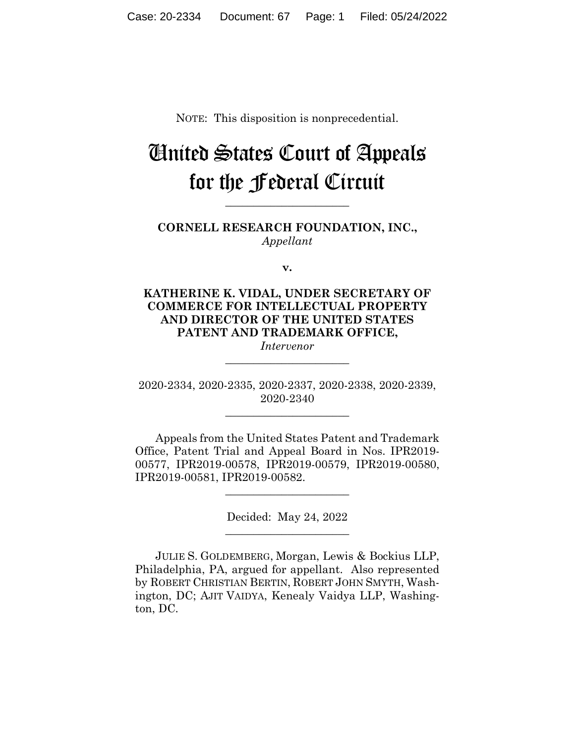NOTE: This disposition is nonprecedential.

# United States Court of Appeals for the Federal Circuit

**CORNELL RESEARCH FOUNDATION, INC.,** *Appellant*

**\_\_\_\_\_\_\_\_\_\_\_\_\_\_\_\_\_\_\_\_\_\_** 

**v.**

**KATHERINE K. VIDAL, UNDER SECRETARY OF COMMERCE FOR INTELLECTUAL PROPERTY AND DIRECTOR OF THE UNITED STATES PATENT AND TRADEMARK OFFICE,**

*Intervenor* **\_\_\_\_\_\_\_\_\_\_\_\_\_\_\_\_\_\_\_\_\_\_** 

2020-2334, 2020-2335, 2020-2337, 2020-2338, 2020-2339, 2020-2340

**\_\_\_\_\_\_\_\_\_\_\_\_\_\_\_\_\_\_\_\_\_\_** 

Appeals from the United States Patent and Trademark Office, Patent Trial and Appeal Board in Nos. IPR2019- 00577, IPR2019-00578, IPR2019-00579, IPR2019-00580, IPR2019-00581, IPR2019-00582.

 $\overline{\phantom{a}}$  , where  $\overline{\phantom{a}}$  , where  $\overline{\phantom{a}}$  , where  $\overline{\phantom{a}}$ 

Decided: May 24, 2022  $\overline{\phantom{a}}$  , where  $\overline{\phantom{a}}$  , where  $\overline{\phantom{a}}$  , where  $\overline{\phantom{a}}$ 

JULIE S. GOLDEMBERG, Morgan, Lewis & Bockius LLP, Philadelphia, PA, argued for appellant. Also represented by ROBERT CHRISTIAN BERTIN, ROBERT JOHN SMYTH, Washington, DC; AJIT VAIDYA, Kenealy Vaidya LLP, Washington, DC.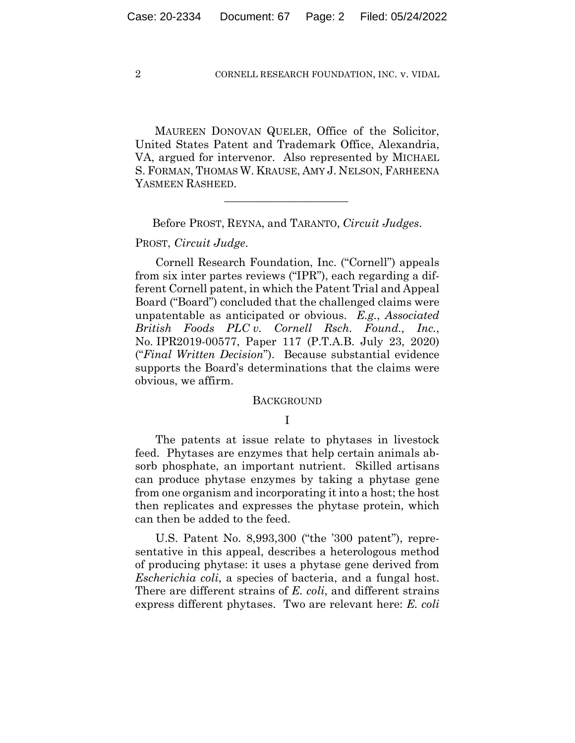MAUREEN DONOVAN QUELER, Office of the Solicitor, United States Patent and Trademark Office, Alexandria, VA, argued for intervenor. Also represented by MICHAEL S. FORMAN, THOMAS W. KRAUSE, AMY J. NELSON, FARHEENA YASMEEN RASHEED.

Before PROST, REYNA, and TARANTO, *Circuit Judges*.

 $\mathcal{L}_\text{max}$  and  $\mathcal{L}_\text{max}$  and  $\mathcal{L}_\text{max}$  and  $\mathcal{L}_\text{max}$ 

### PROST, *Circuit Judge*.

Cornell Research Foundation, Inc. ("Cornell") appeals from six inter partes reviews ("IPR"), each regarding a different Cornell patent, in which the Patent Trial and Appeal Board ("Board") concluded that the challenged claims were unpatentable as anticipated or obvious. *E.g.*, *Associated British Foods PLC v. Cornell Rsch. Found., Inc.*, No. IPR2019-00577, Paper 117 (P.T.A.B. July 23, 2020) ("*Final Written Decision*"). Because substantial evidence supports the Board's determinations that the claims were obvious, we affirm.

#### BACKGROUND

# I

The patents at issue relate to phytases in livestock feed. Phytases are enzymes that help certain animals absorb phosphate, an important nutrient. Skilled artisans can produce phytase enzymes by taking a phytase gene from one organism and incorporating it into a host; the host then replicates and expresses the phytase protein, which can then be added to the feed.

U.S. Patent No. 8,993,300 ("the '300 patent"), representative in this appeal, describes a heterologous method of producing phytase: it uses a phytase gene derived from *Escherichia coli*, a species of bacteria, and a fungal host. There are different strains of *E. coli*, and different strains express different phytases. Two are relevant here: *E. coli*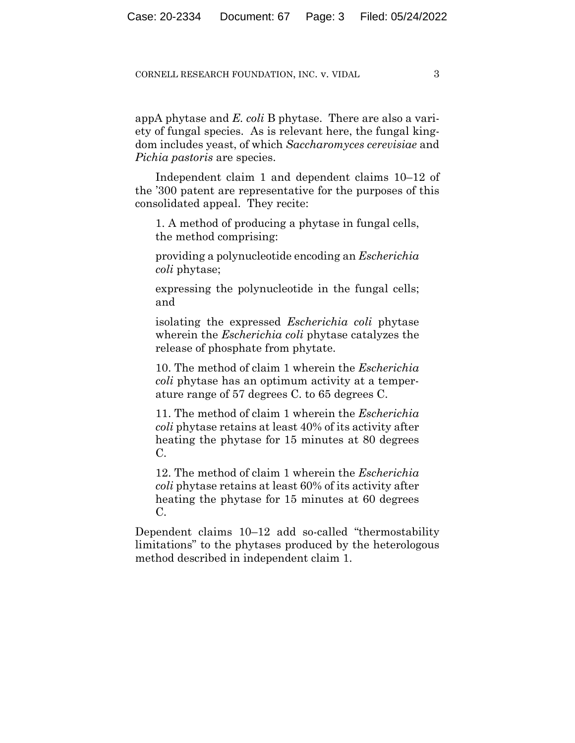appA phytase and *E. coli* B phytase. There are also a variety of fungal species. As is relevant here, the fungal kingdom includes yeast, of which *Saccharomyces cerevisiae* and *Pichia pastoris* are species.

Independent claim 1 and dependent claims 10–12 of the '300 patent are representative for the purposes of this consolidated appeal. They recite:

1. A method of producing a phytase in fungal cells, the method comprising:

providing a polynucleotide encoding an *Escherichia coli* phytase;

expressing the polynucleotide in the fungal cells; and

isolating the expressed *Escherichia coli* phytase wherein the *Escherichia coli* phytase catalyzes the release of phosphate from phytate.

10. The method of claim 1 wherein the *Escherichia coli* phytase has an optimum activity at a temperature range of 57 degrees C. to 65 degrees C.

11. The method of claim 1 wherein the *Escherichia coli* phytase retains at least 40% of its activity after heating the phytase for 15 minutes at 80 degrees C.

12. The method of claim 1 wherein the *Escherichia coli* phytase retains at least 60% of its activity after heating the phytase for 15 minutes at 60 degrees  $C<sub>r</sub>$ 

Dependent claims 10–12 add so-called "thermostability limitations" to the phytases produced by the heterologous method described in independent claim 1.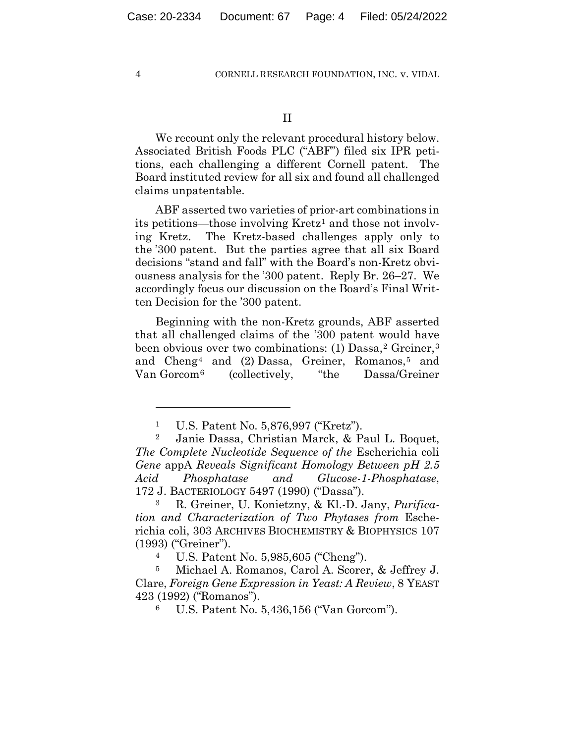We recount only the relevant procedural history below. Associated British Foods PLC ("ABF") filed six IPR petitions, each challenging a different Cornell patent. The Board instituted review for all six and found all challenged claims unpatentable.

ABF asserted two varieties of prior-art combinations in its petitions—those involving Kretz<sup>1</sup> and those not involving Kretz. The Kretz-based challenges apply only to the '300 patent. But the parties agree that all six Board decisions "stand and fall" with the Board's non-Kretz obviousness analysis for the '300 patent. Reply Br. 26–27. We accordingly focus our discussion on the Board's Final Written Decision for the '300 patent.

Beginning with the non-Kretz grounds, ABF asserted that all challenged claims of the '300 patent would have been obvious over two combinations: (1) Dassa,<sup>2</sup> Greiner,<sup>3</sup> and Cheng<sup>4</sup> and  $(2)$  Dassa, Greiner, Romanos,<sup>5</sup> and Van Gorcom6 (collectively, "the Dassa/Greiner

<sup>1</sup> U.S. Patent No. 5,876,997 ("Kretz").

<sup>2</sup> Janie Dassa, Christian Marck, & Paul L. Boquet, *The Complete Nucleotide Sequence of the* Escherichia coli *Gene* appA *Reveals Significant Homology Between pH 2.5 Acid Phosphatase and Glucose-1-Phosphatase*, 172 J. BACTERIOLOGY 5497 (1990) ("Dassa").

<sup>3</sup> R. Greiner, U. Konietzny, & Kl.-D. Jany, *Purification and Characterization of Two Phytases from* Escherichia coli, 303 ARCHIVES BIOCHEMISTRY & BIOPHYSICS 107 (1993) ("Greiner").

<sup>4</sup> U.S. Patent No. 5,985,605 ("Cheng").

<sup>5</sup> Michael A. Romanos, Carol A. Scorer, & Jeffrey J. Clare, *Foreign Gene Expression in Yeast: A Review*, 8 YEAST 423 (1992) ("Romanos").

<sup>6</sup> U.S. Patent No. 5,436,156 ("Van Gorcom").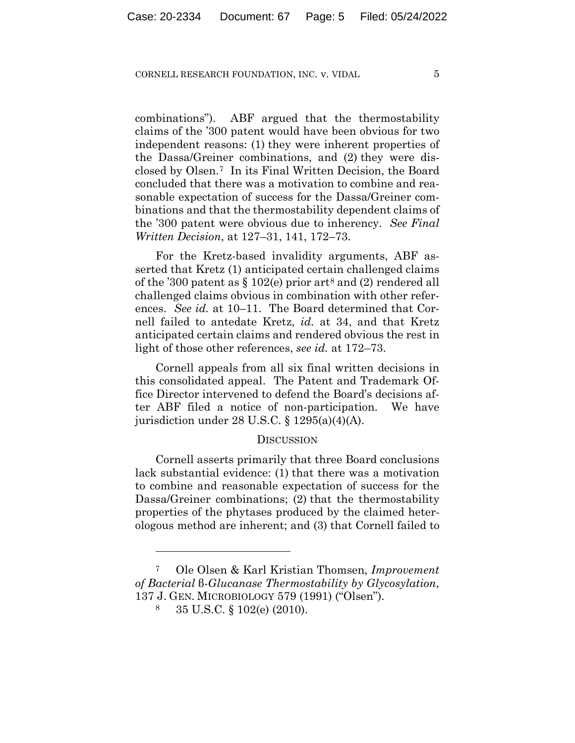combinations"). ABF argued that the thermostability claims of the '300 patent would have been obvious for two independent reasons: (1) they were inherent properties of the Dassa/Greiner combinations, and (2) they were disclosed by Olsen.7 In its Final Written Decision, the Board concluded that there was a motivation to combine and reasonable expectation of success for the Dassa/Greiner combinations and that the thermostability dependent claims of the '300 patent were obvious due to inherency. *See Final Written Decision*, at 127–31, 141, 172–73.

For the Kretz-based invalidity arguments, ABF asserted that Kretz (1) anticipated certain challenged claims of the '300 patent as  $\S 102(e)$  prior art<sup>8</sup> and (2) rendered all challenged claims obvious in combination with other references. *See id.* at 10–11. The Board determined that Cornell failed to antedate Kretz, *id.* at 34, and that Kretz anticipated certain claims and rendered obvious the rest in light of those other references, *see id.* at 172–73.

Cornell appeals from all six final written decisions in this consolidated appeal. The Patent and Trademark Office Director intervened to defend the Board's decisions after ABF filed a notice of non-participation. We have jurisdiction under 28 U.S.C. § 1295(a)(4)(A).

## **DISCUSSION**

Cornell asserts primarily that three Board conclusions lack substantial evidence: (1) that there was a motivation to combine and reasonable expectation of success for the Dassa/Greiner combinations; (2) that the thermostability properties of the phytases produced by the claimed heterologous method are inherent; and (3) that Cornell failed to

<sup>7</sup> Ole Olsen & Karl Kristian Thomsen, *Improvement of Bacterial* β*-Glucanase Thermostability by Glycosylation*, 137 J. GEN. MICROBIOLOGY 579 (1991) ("Olsen").

<sup>8 35</sup> U.S.C. § 102(e) (2010).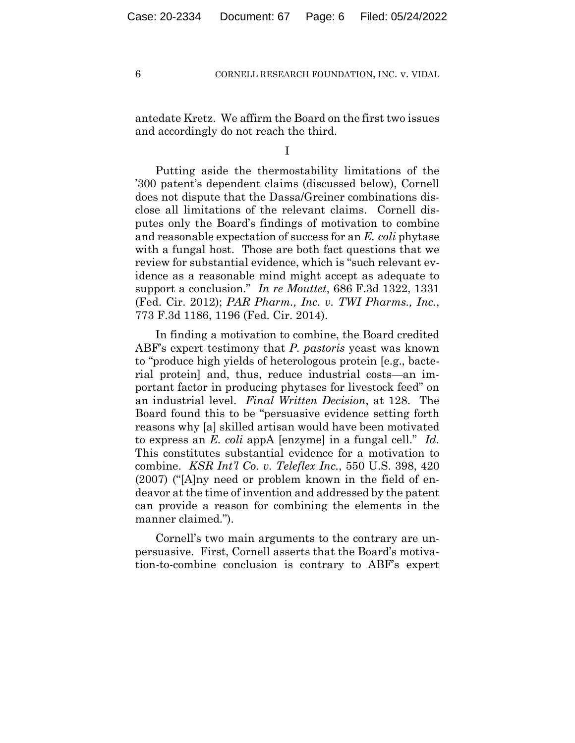antedate Kretz. We affirm the Board on the first two issues and accordingly do not reach the third.

I

Putting aside the thermostability limitations of the '300 patent's dependent claims (discussed below), Cornell does not dispute that the Dassa/Greiner combinations disclose all limitations of the relevant claims. Cornell disputes only the Board's findings of motivation to combine and reasonable expectation of success for an *E. coli* phytase with a fungal host. Those are both fact questions that we review for substantial evidence, which is "such relevant evidence as a reasonable mind might accept as adequate to support a conclusion." *In re Mouttet*, 686 F.3d 1322, 1331 (Fed. Cir. 2012); *PAR Pharm., Inc. v. TWI Pharms., Inc.*, 773 F.3d 1186, 1196 (Fed. Cir. 2014).

In finding a motivation to combine, the Board credited ABF's expert testimony that *P. pastoris* yeast was known to "produce high yields of heterologous protein [e.g., bacterial protein] and, thus, reduce industrial costs—an important factor in producing phytases for livestock feed" on an industrial level. *Final Written Decision*, at 128. The Board found this to be "persuasive evidence setting forth reasons why [a] skilled artisan would have been motivated to express an *E. coli* appA [enzyme] in a fungal cell." *Id.* This constitutes substantial evidence for a motivation to combine. *KSR Int'l Co. v. Teleflex Inc.*, 550 U.S. 398, 420 (2007) ("[A]ny need or problem known in the field of endeavor at the time of invention and addressed by the patent can provide a reason for combining the elements in the manner claimed.").

Cornell's two main arguments to the contrary are unpersuasive. First, Cornell asserts that the Board's motivation-to-combine conclusion is contrary to ABF's expert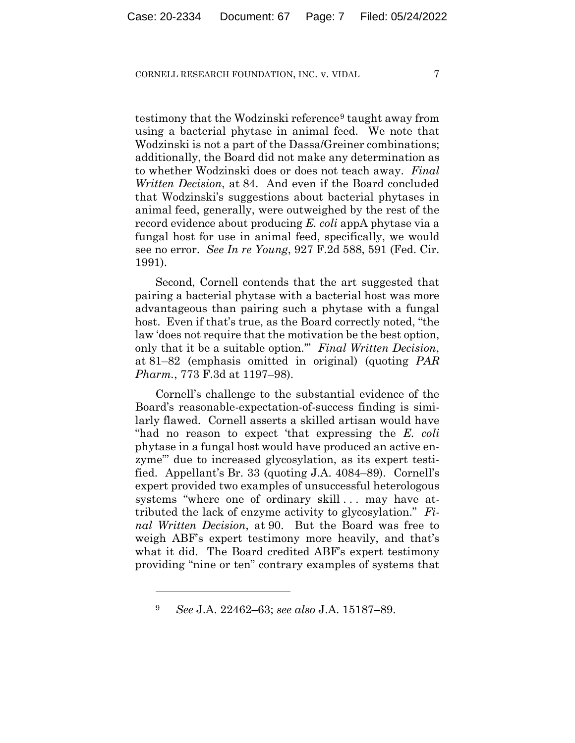testimony that the Wodzinski reference<sup>9</sup> taught away from using a bacterial phytase in animal feed. We note that Wodzinski is not a part of the Dassa/Greiner combinations; additionally, the Board did not make any determination as to whether Wodzinski does or does not teach away. *Final Written Decision*, at 84. And even if the Board concluded that Wodzinski's suggestions about bacterial phytases in animal feed, generally, were outweighed by the rest of the record evidence about producing *E. coli* appA phytase via a fungal host for use in animal feed, specifically, we would see no error. *See In re Young*, 927 F.2d 588, 591 (Fed. Cir. 1991).

Second, Cornell contends that the art suggested that pairing a bacterial phytase with a bacterial host was more advantageous than pairing such a phytase with a fungal host. Even if that's true, as the Board correctly noted, "the law 'does not require that the motivation be the best option, only that it be a suitable option.'" *Final Written Decision*, at 81–82 (emphasis omitted in original) (quoting *PAR Pharm.*, 773 F.3d at 1197–98).

Cornell's challenge to the substantial evidence of the Board's reasonable-expectation-of-success finding is similarly flawed. Cornell asserts a skilled artisan would have "had no reason to expect 'that expressing the *E. coli* phytase in a fungal host would have produced an active enzyme'" due to increased glycosylation, as its expert testified. Appellant's Br. 33 (quoting J.A. 4084–89). Cornell's expert provided two examples of unsuccessful heterologous systems "where one of ordinary skill... may have attributed the lack of enzyme activity to glycosylation." *Final Written Decision*, at 90. But the Board was free to weigh ABF's expert testimony more heavily, and that's what it did. The Board credited ABF's expert testimony providing "nine or ten" contrary examples of systems that

<sup>9</sup> *See* J.A. 22462–63; *see also* J.A. 15187–89.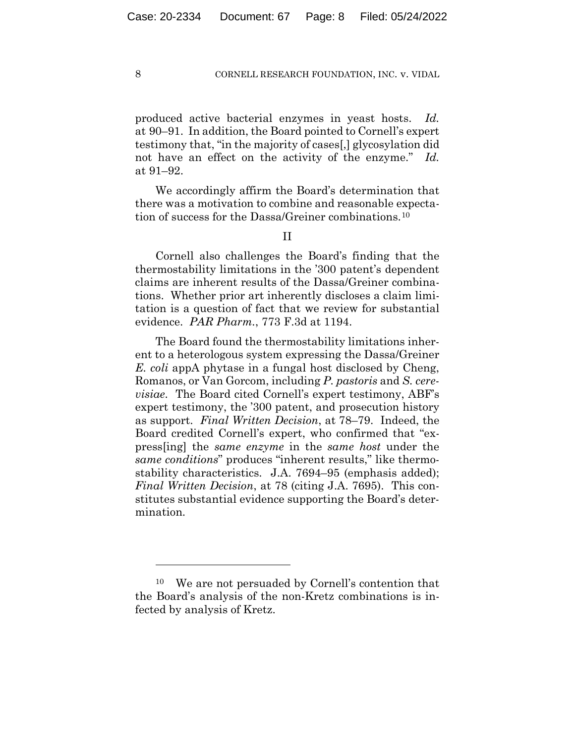produced active bacterial enzymes in yeast hosts. *Id.* at 90–91. In addition, the Board pointed to Cornell's expert testimony that, "in the majority of cases[,] glycosylation did not have an effect on the activity of the enzyme." *Id.* at 91–92.

We accordingly affirm the Board's determination that there was a motivation to combine and reasonable expectation of success for the Dassa/Greiner combinations.10

II

Cornell also challenges the Board's finding that the thermostability limitations in the '300 patent's dependent claims are inherent results of the Dassa/Greiner combinations. Whether prior art inherently discloses a claim limitation is a question of fact that we review for substantial evidence. *PAR Pharm.*, 773 F.3d at 1194.

The Board found the thermostability limitations inherent to a heterologous system expressing the Dassa/Greiner *E. coli* appA phytase in a fungal host disclosed by Cheng, Romanos, or Van Gorcom, including *P. pastoris* and *S. cerevisiae*. The Board cited Cornell's expert testimony, ABF's expert testimony, the '300 patent, and prosecution history as support. *Final Written Decision*, at 78–79. Indeed, the Board credited Cornell's expert, who confirmed that "express[ing] the *same enzyme* in the *same host* under the *same conditions*" produces "inherent results," like thermostability characteristics. J.A. 7694–95 (emphasis added); *Final Written Decision*, at 78 (citing J.A. 7695). This constitutes substantial evidence supporting the Board's determination.

<sup>10</sup> We are not persuaded by Cornell's contention that the Board's analysis of the non-Kretz combinations is infected by analysis of Kretz.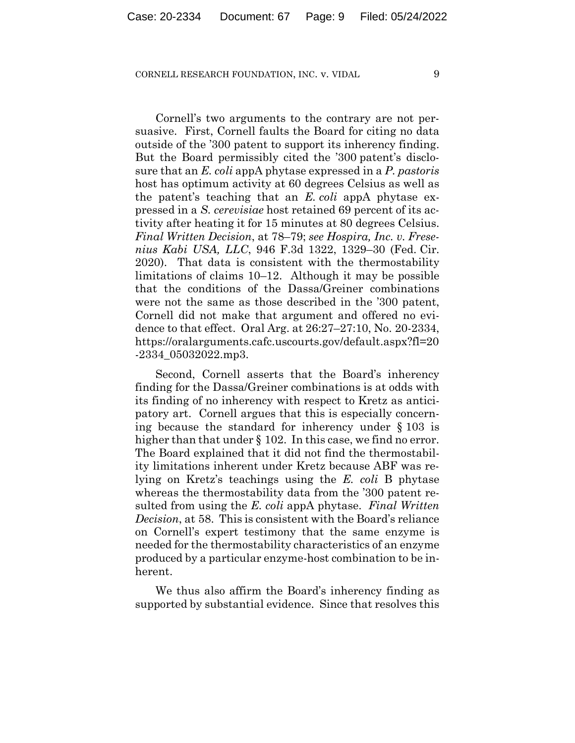Cornell's two arguments to the contrary are not persuasive. First, Cornell faults the Board for citing no data outside of the '300 patent to support its inherency finding. But the Board permissibly cited the '300 patent's disclosure that an *E. coli* appA phytase expressed in a *P. pastoris* host has optimum activity at 60 degrees Celsius as well as the patent's teaching that an *E. coli* appA phytase expressed in a *S. cerevisiae* host retained 69 percent of its activity after heating it for 15 minutes at 80 degrees Celsius. *Final Written Decision*, at 78–79; *see Hospira, Inc. v. Fresenius Kabi USA, LLC*, 946 F.3d 1322, 1329–30 (Fed. Cir. 2020). That data is consistent with the thermostability limitations of claims 10–12. Although it may be possible that the conditions of the Dassa/Greiner combinations were not the same as those described in the '300 patent, Cornell did not make that argument and offered no evidence to that effect. Oral Arg. at 26:27–27:10, No. 20-2334, https://oralarguments.cafc.uscourts.gov/default.aspx?fl=20 -2334\_05032022.mp3.

Second, Cornell asserts that the Board's inherency finding for the Dassa/Greiner combinations is at odds with its finding of no inherency with respect to Kretz as anticipatory art. Cornell argues that this is especially concerning because the standard for inherency under § 103 is higher than that under § 102. In this case, we find no error. The Board explained that it did not find the thermostability limitations inherent under Kretz because ABF was relying on Kretz's teachings using the *E. coli* B phytase whereas the thermostability data from the '300 patent resulted from using the *E. coli* appA phytase. *Final Written Decision*, at 58. This is consistent with the Board's reliance on Cornell's expert testimony that the same enzyme is needed for the thermostability characteristics of an enzyme produced by a particular enzyme-host combination to be inherent.

We thus also affirm the Board's inherency finding as supported by substantial evidence. Since that resolves this